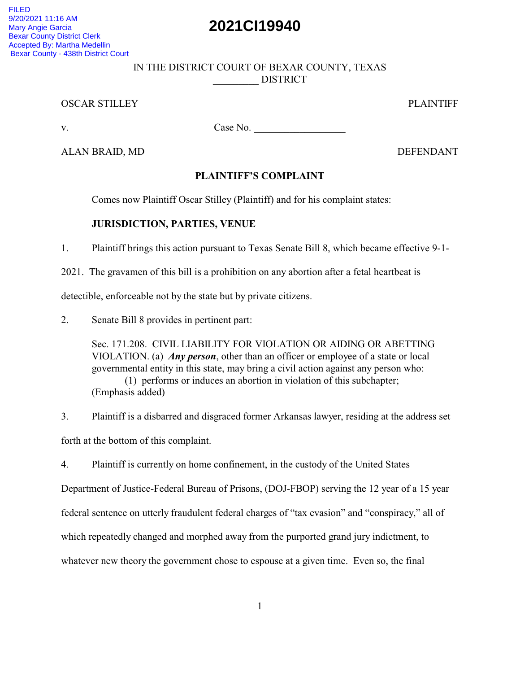# **2021CI19940**

FILED 9/20/2021 11:16 AM Mary Angie Garcia Bexar County District Clerk Accepted By: Martha Medellin Bexar County - 438th District Court

### IN THE DISTRICT COURT OF BEXAR COUNTY, TEXAS \_\_\_\_\_\_\_\_\_ DISTRICT

#### OSCAR STILLEY PLAINTIFF

v. Case No. \_\_\_\_\_\_\_\_\_\_\_\_\_\_\_\_\_\_

ALAN BRAID, MD DEFENDANT

## **PLAINTIFF'S COMPLAINT**

Comes now Plaintiff Oscar Stilley (Plaintiff) and for his complaint states:

## **JURISDICTION, PARTIES, VENUE**

1. Plaintiff brings this action pursuant to Texas Senate Bill 8, which became effective 9-1-

2021. The gravamen of this bill is a prohibition on any abortion after a fetal heartbeat is

detectible, enforceable not by the state but by private citizens.

2. Senate Bill 8 provides in pertinent part:

Sec. 171.208. CIVIL LIABILITY FOR VIOLATION OR AIDING OR ABETTING VIOLATION. (a) *Any person*, other than an officer or employee of a state or local governmental entity in this state, may bring a civil action against any person who: (1) performs or induces an abortion in violation of this subchapter; (Emphasis added)

3. Plaintiff is a disbarred and disgraced former Arkansas lawyer, residing at the address set forth at the bottom of this complaint.

4. Plaintiff is currently on home confinement, in the custody of the United States

Department of Justice-Federal Bureau of Prisons, (DOJ-FBOP) serving the 12 year of a 15 year

federal sentence on utterly fraudulent federal charges of "tax evasion" and "conspiracy," all of

which repeatedly changed and morphed away from the purported grand jury indictment, to

whatever new theory the government chose to espouse at a given time. Even so, the final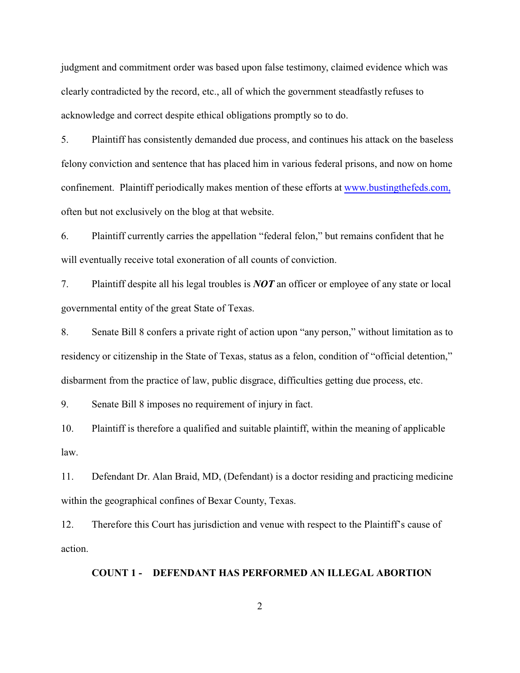judgment and commitment order was based upon false testimony, claimed evidence which was clearly contradicted by the record, etc., all of which the government steadfastly refuses to acknowledge and correct despite ethical obligations promptly so to do.

5. Plaintiff has consistently demanded due process, and continues his attack on the baseless felony conviction and sentence that has placed him in various federal prisons, and now on home confinement. Plaintiff periodically makes mention of these efforts at [www.bustingthefeds.com,](http://www.bustingthefeds.com.) often but not exclusively on the blog at that website.

6. Plaintiff currently carries the appellation "federal felon," but remains confident that he will eventually receive total exoneration of all counts of conviction.

7. Plaintiff despite all his legal troubles is *NOT* an officer or employee of any state or local governmental entity of the great State of Texas.

8. Senate Bill 8 confers a private right of action upon "any person," without limitation as to residency or citizenship in the State of Texas, status as a felon, condition of "official detention," disbarment from the practice of law, public disgrace, difficulties getting due process, etc.

9. Senate Bill 8 imposes no requirement of injury in fact.

10. Plaintiff is therefore a qualified and suitable plaintiff, within the meaning of applicable law.

11. Defendant Dr. Alan Braid, MD, (Defendant) is a doctor residing and practicing medicine within the geographical confines of Bexar County, Texas.

12. Therefore this Court has jurisdiction and venue with respect to the Plaintiff's cause of action.

#### **COUNT 1 - DEFENDANT HAS PERFORMED AN ILLEGAL ABORTION**

2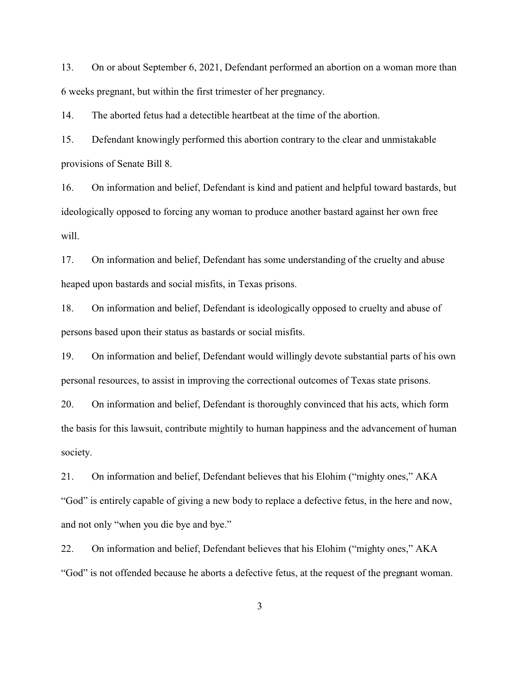13. On or about September 6, 2021, Defendant performed an abortion on a woman more than 6 weeks pregnant, but within the first trimester of her pregnancy.

14. The aborted fetus had a detectible heartbeat at the time of the abortion.

15. Defendant knowingly performed this abortion contrary to the clear and unmistakable provisions of Senate Bill 8.

16. On information and belief, Defendant is kind and patient and helpful toward bastards, but ideologically opposed to forcing any woman to produce another bastard against her own free will.

17. On information and belief, Defendant has some understanding of the cruelty and abuse heaped upon bastards and social misfits, in Texas prisons.

18. On information and belief, Defendant is ideologically opposed to cruelty and abuse of persons based upon their status as bastards or social misfits.

19. On information and belief, Defendant would willingly devote substantial parts of his own personal resources, to assist in improving the correctional outcomes of Texas state prisons.

20. On information and belief, Defendant is thoroughly convinced that his acts, which form the basis for this lawsuit, contribute mightily to human happiness and the advancement of human society.

21. On information and belief, Defendant believes that his Elohim ("mighty ones," AKA "God" is entirely capable of giving a new body to replace a defective fetus, in the here and now, and not only "when you die bye and bye."

22. On information and belief, Defendant believes that his Elohim ("mighty ones," AKA "God" is not offended because he aborts a defective fetus, at the request of the pregnant woman.

3